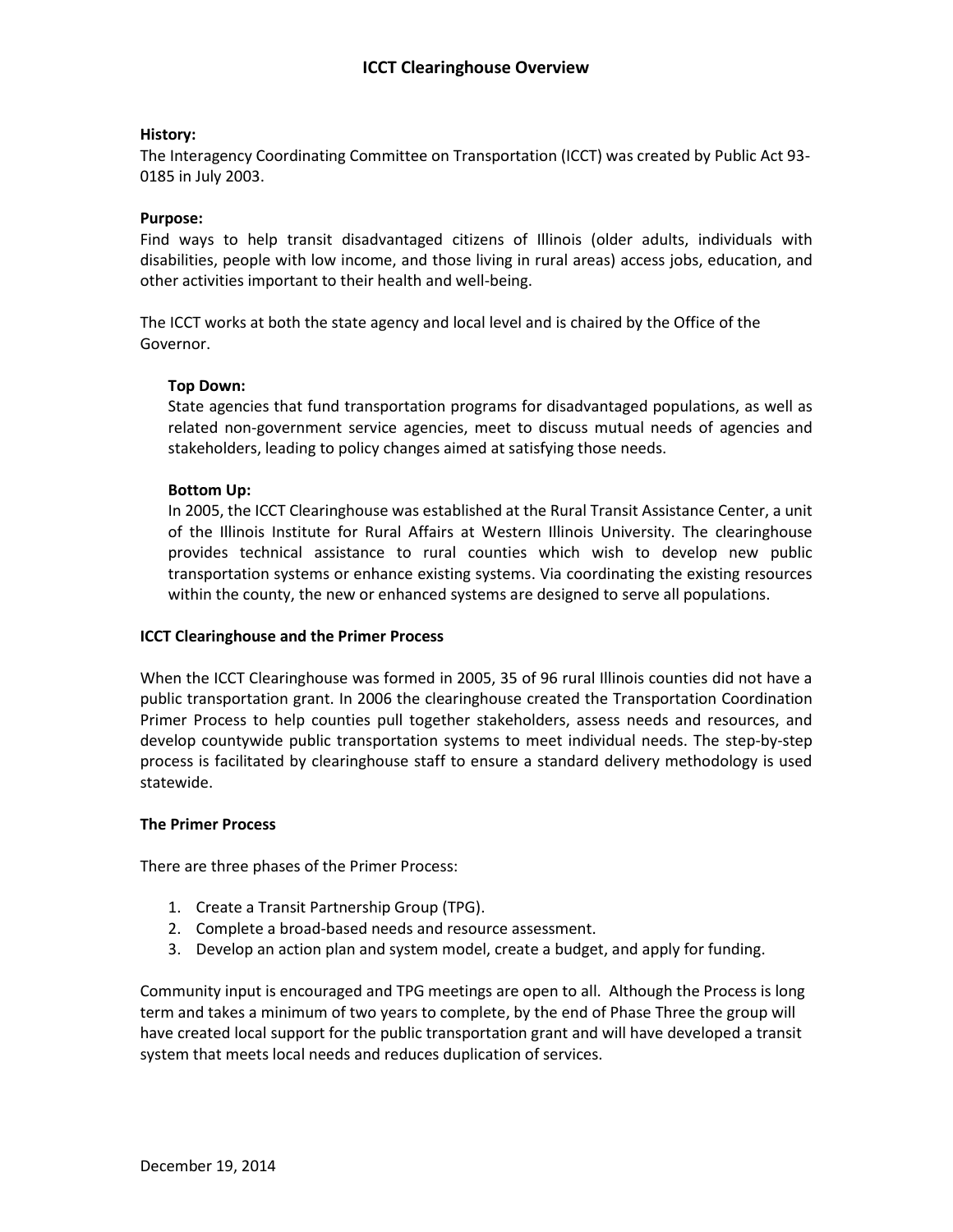# **History:**

The Interagency Coordinating Committee on Transportation (ICCT) was created by Public Act 93- 0185 in July 2003.

# **Purpose:**

Find ways to help transit disadvantaged citizens of Illinois (older adults, individuals with disabilities, people with low income, and those living in rural areas) access jobs, education, and other activities important to their health and well-being.

The ICCT works at both the state agency and local level and is chaired by the Office of the Governor.

# **Top Down:**

State agencies that fund transportation programs for disadvantaged populations, as well as related non-government service agencies, meet to discuss mutual needs of agencies and stakeholders, leading to policy changes aimed at satisfying those needs.

## **Bottom Up:**

In 2005, the ICCT Clearinghouse was established at the Rural Transit Assistance Center, a unit of the Illinois Institute for Rural Affairs at Western Illinois University. The clearinghouse provides technical assistance to rural counties which wish to develop new public transportation systems or enhance existing systems. Via coordinating the existing resources within the county, the new or enhanced systems are designed to serve all populations.

#### **ICCT Clearinghouse and the Primer Process**

When the ICCT Clearinghouse was formed in 2005, 35 of 96 rural Illinois counties did not have a public transportation grant. In 2006 the clearinghouse created the Transportation Coordination Primer Process to help counties pull together stakeholders, assess needs and resources, and develop countywide public transportation systems to meet individual needs. The step-by-step process is facilitated by clearinghouse staff to ensure a standard delivery methodology is used statewide.

#### **The Primer Process**

There are three phases of the Primer Process:

- 1. Create a Transit Partnership Group (TPG).
- 2. Complete a broad-based needs and resource assessment.
- 3. Develop an action plan and system model, create a budget, and apply for funding.

Community input is encouraged and TPG meetings are open to all. Although the Process is long term and takes a minimum of two years to complete, by the end of Phase Three the group will have created local support for the public transportation grant and will have developed a transit system that meets local needs and reduces duplication of services.